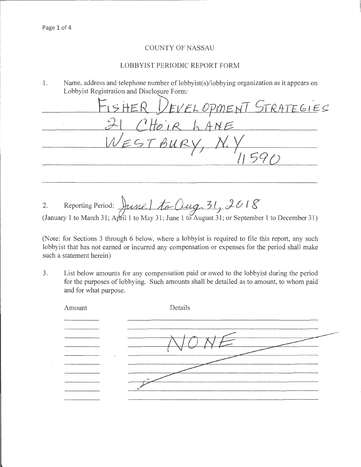## **COUNTY OF NASSAU**

## LOBBYIST PERIODIC REPORT FORM

Name, address and telephone number of lobbyist(s)/lobbying organization as it appears on 1. Lobbyist Registration and Disclosure Form:

<u>IER VEVELOPMENT STRATEGIES</u> HOIR LANE

2. Reporting Period:  $\frac{1}{10}$   $\frac{1}{10}$   $\frac{1}{10}$   $\frac{1}{10}$   $\frac{31}{31}$   $\frac{2018}{5}$ <br>(January 1 to March 31; April 1 to May 31; June 1 to August 31; or September 1 to December 31)

(Note: for Sections 3 through 6 below, where a lobbyist is required to file this report, any such lobby ist that has not earned or incurred any compensation or expenses for the period shall make such a statement herein)

List below amounts for any compensation paid or owed to the lobbyist during the period  $3<sub>1</sub>$ for the purposes of lobbying. Such amounts shall be detailed as to amount, to whom paid and for what purpose.

| Amount | Details |
|--------|---------|
|        |         |
|        |         |
|        |         |
|        |         |
|        |         |
|        |         |
|        |         |
|        |         |
|        |         |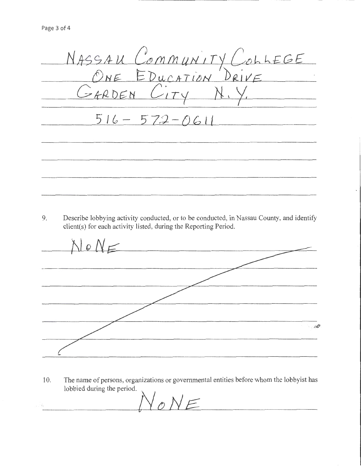NASSAU COMMUNITY COLLEGE GARDEN (  $2174$  $516 - 572 - 0611$ 

9. Describe lobbying activity conducted, or to be conducted, in Nassau County, and identify client(s) for each activity listed, during the Reporting Period.

 $N \circ N =$  $\sim 10^{22}$ 

10. The name of persons, organizations or governmental entities before whom the lobbyist has lobbied during the period.

 $\vee$ <sub>O</sub>NE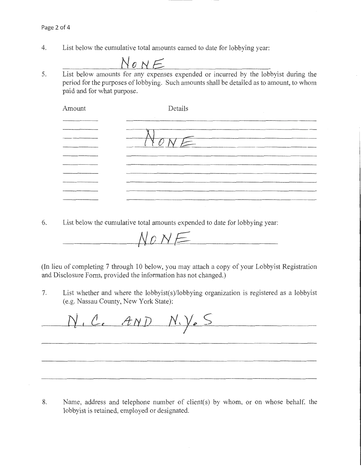4. List below the cumulative total amounts earned to date for lobbying year:

$$
NowE
$$

5. List below amounts for any expenses expended or incurred by the lobbyist during the period for the purposes of lobbying. Such amounts shall be detailed as to amount, to whom paid and for what purpose.

| Amount            | Details |
|-------------------|---------|
|                   |         |
| ,,,,,,,,,,,,,,,,, |         |
|                   |         |
|                   |         |
|                   |         |
|                   |         |
|                   |         |
|                   |         |
|                   |         |
|                   |         |

6. List below the cumulative total amounts expended to date for lobbying year:

 $N$ ONE

(In lieu of completing 7 through 10 below, you may attach a copy of your Lobbyist Registration and Disclosure Form, provided the information has not changed.)

7. List whether and where the lobbyist(s)/lobbying organization is registered as a lobbyist (e.g. Nassau County, New York State):

N.C. AND N.V.S

8. Name, address and telephone number of client(s) by whom, or on whose behalf, the lobbyist is retained, employed or designated.